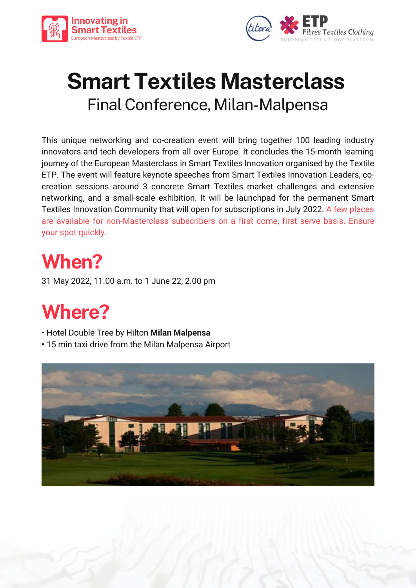



# **Smart Textiles Masterclass** FinalConference, Milan-Malpensa

This unique networking and co-creation event will bring together 100 leading industry innovators and tech developers from all over Europe. It concludes the 15-month learning journey of the European Masterclass in Smart Textiles Innovation organised by the Textile ETP. The event will feature keynote speeches from Smart Textiles Innovation Leaders, cocreation sessions around 3 concrete Smart Textiles market challenges and extensive networking, and a small-scale exhibition. It will be launchpad for the permanent Smart Textiles Innovation Community that will open for subscriptions in July 2022. A few places are available for non-Masterclass subscribers on a first come, first serve basis. Ensure your spot quickly.

# **When?**

31 May 2022, 11.00 a.m. to 1 June 22, 2.00 pm

# **Where?**

- Hotel Double Tree by Hilton **Milan Malpensa**
- 15 min taxi drive from the Milan Malpensa Airport